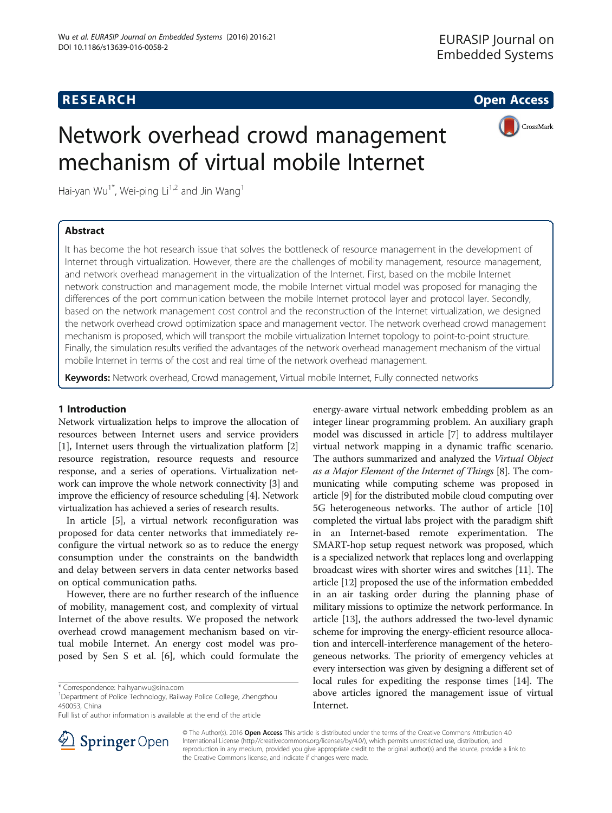# Network overhead crowd management mechanism of virtual mobile Internet

Hai-yan Wu<sup>1\*</sup>, Wei-ping Li<sup>1,2</sup> and Jin Wang<sup>1</sup>

# Abstract

CrossMark

It has become the hot research issue that solves the bottleneck of resource management in the development of Internet through virtualization. However, there are the challenges of mobility management, resource management, and network overhead management in the virtualization of the Internet. First, based on the mobile Internet network construction and management mode, the mobile Internet virtual model was proposed for managing the differences of the port communication between the mobile Internet protocol layer and protocol layer. Secondly, based on the network management cost control and the reconstruction of the Internet virtualization, we designed the network overhead crowd optimization space and management vector. The network overhead crowd management mechanism is proposed, which will transport the mobile virtualization Internet topology to point-to-point structure. Finally, the simulation results verified the advantages of the network overhead management mechanism of the virtual mobile Internet in terms of the cost and real time of the network overhead management.

Keywords: Network overhead, Crowd management, Virtual mobile Internet, Fully connected networks

# 1 Introduction

Network virtualization helps to improve the allocation of resources between Internet users and service providers [[1\]](#page-4-0), Internet users through the virtualization platform [[2](#page-4-0)] resource registration, resource requests and resource response, and a series of operations. Virtualization network can improve the whole network connectivity [[3\]](#page-4-0) and improve the efficiency of resource scheduling [[4\]](#page-5-0). Network virtualization has achieved a series of research results.

In article [\[5](#page-5-0)], a virtual network reconfiguration was proposed for data center networks that immediately reconfigure the virtual network so as to reduce the energy consumption under the constraints on the bandwidth and delay between servers in data center networks based on optical communication paths.

However, there are no further research of the influence of mobility, management cost, and complexity of virtual Internet of the above results. We proposed the network overhead crowd management mechanism based on virtual mobile Internet. An energy cost model was proposed by Sen S et al. [\[6](#page-5-0)], which could formulate the energy-aware virtual network embedding problem as an integer linear programming problem. An auxiliary graph model was discussed in article [\[7\]](#page-5-0) to address multilayer virtual network mapping in a dynamic traffic scenario. The authors summarized and analyzed the Virtual Object as a Major Element of the Internet of Things [\[8](#page-5-0)]. The communicating while computing scheme was proposed in article [\[9\]](#page-5-0) for the distributed mobile cloud computing over 5G heterogeneous networks. The author of article [[10](#page-5-0)] completed the virtual labs project with the paradigm shift in an Internet-based remote experimentation. The SMART-hop setup request network was proposed, which is a specialized network that replaces long and overlapping broadcast wires with shorter wires and switches [[11](#page-5-0)]. The article [\[12\]](#page-5-0) proposed the use of the information embedded in an air tasking order during the planning phase of military missions to optimize the network performance. In article [\[13\]](#page-5-0), the authors addressed the two-level dynamic scheme for improving the energy-efficient resource allocation and intercell-interference management of the heterogeneous networks. The priority of emergency vehicles at every intersection was given by designing a different set of local rules for expediting the response times [[14](#page-5-0)]. The above articles ignored the management issue of virtual Internet.



© The Author(s). 2016 Open Access This article is distributed under the terms of the Creative Commons Attribution 4.0 International License ([http://creativecommons.org/licenses/by/4.0/\)](http://creativecommons.org/licenses/by/4.0/), which permits unrestricted use, distribution, and reproduction in any medium, provided you give appropriate credit to the original author(s) and the source, provide a link to the Creative Commons license, and indicate if changes were made.

<sup>\*</sup> Correspondence: [haihyanwu@sina.com](mailto:haihyanwu@sina.com) <sup>1</sup>

<sup>&</sup>lt;sup>1</sup>Department of Police Technology, Railway Police College, Zhengzhou 450053, China

Full list of author information is available at the end of the article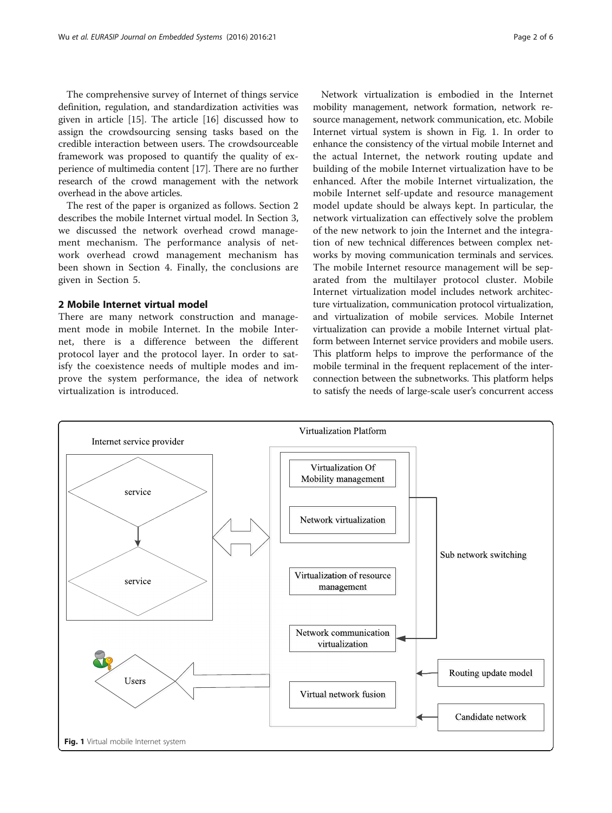The comprehensive survey of Internet of things service definition, regulation, and standardization activities was given in article [[15](#page-5-0)]. The article [\[16](#page-5-0)] discussed how to assign the crowdsourcing sensing tasks based on the credible interaction between users. The crowdsourceable framework was proposed to quantify the quality of experience of multimedia content [\[17\]](#page-5-0). There are no further research of the crowd management with the network overhead in the above articles.

The rest of the paper is organized as follows. Section 2 describes the mobile Internet virtual model. In Section [3](#page-2-0), we discussed the network overhead crowd management mechanism. The performance analysis of network overhead crowd management mechanism has been shown in Section [4](#page-3-0). Finally, the conclusions are given in Section [5](#page-4-0).

## 2 Mobile Internet virtual model

There are many network construction and management mode in mobile Internet. In the mobile Internet, there is a difference between the different protocol layer and the protocol layer. In order to satisfy the coexistence needs of multiple modes and improve the system performance, the idea of network virtualization is introduced.

Network virtualization is embodied in the Internet mobility management, network formation, network resource management, network communication, etc. Mobile Internet virtual system is shown in Fig. 1. In order to enhance the consistency of the virtual mobile Internet and the actual Internet, the network routing update and building of the mobile Internet virtualization have to be enhanced. After the mobile Internet virtualization, the mobile Internet self-update and resource management model update should be always kept. In particular, the network virtualization can effectively solve the problem of the new network to join the Internet and the integration of new technical differences between complex networks by moving communication terminals and services. The mobile Internet resource management will be separated from the multilayer protocol cluster. Mobile Internet virtualization model includes network architecture virtualization, communication protocol virtualization, and virtualization of mobile services. Mobile Internet virtualization can provide a mobile Internet virtual platform between Internet service providers and mobile users. This platform helps to improve the performance of the mobile terminal in the frequent replacement of the interconnection between the subnetworks. This platform helps to satisfy the needs of large-scale user's concurrent access

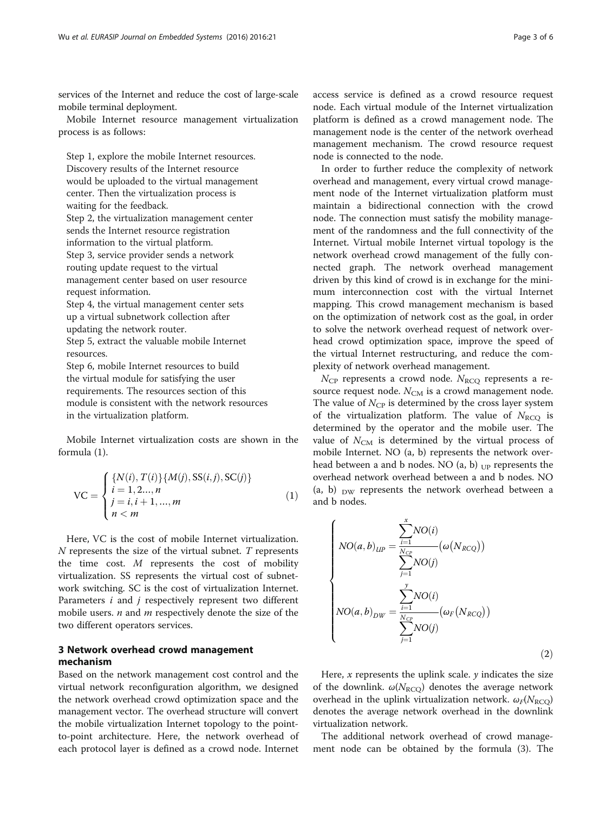<span id="page-2-0"></span>services of the Internet and reduce the cost of large-scale mobile terminal deployment.

Mobile Internet resource management virtualization process is as follows:

Step 1, explore the mobile Internet resources. Discovery results of the Internet resource would be uploaded to the virtual management center. Then the virtualization process is waiting for the feedback. Step 2, the virtualization management center sends the Internet resource registration information to the virtual platform. Step 3, service provider sends a network

routing update request to the virtual management center based on user resource request information.

Step 4, the virtual management center sets up a virtual subnetwork collection after updating the network router. Step 5, extract the valuable mobile Internet

resources. Step 6, mobile Internet resources to build

the virtual module for satisfying the user requirements. The resources section of this module is consistent with the network resources in the virtualization platform.

Mobile Internet virtualization costs are shown in the formula (1).

$$
\text{VC} = \begin{cases} \{N(i), T(i)\} \{M(j), \text{SS}(i, j), \text{SC}(j)\} \\ i = 1, 2..., n \\ j = i, i + 1, ..., m \\ n < m \end{cases} \tag{1}
$$

Here, VC is the cost of mobile Internet virtualization.  $N$  represents the size of the virtual subnet.  $T$  represents the time cost. M represents the cost of mobility virtualization. SS represents the virtual cost of subnetwork switching. SC is the cost of virtualization Internet. Parameters *i* and *j* respectively represent two different mobile users.  $n$  and  $m$  respectively denote the size of the two different operators services.

# 3 Network overhead crowd management mechanism

Based on the network management cost control and the virtual network reconfiguration algorithm, we designed the network overhead crowd optimization space and the management vector. The overhead structure will convert the mobile virtualization Internet topology to the pointto-point architecture. Here, the network overhead of each protocol layer is defined as a crowd node. Internet access service is defined as a crowd resource request node. Each virtual module of the Internet virtualization platform is defined as a crowd management node. The management node is the center of the network overhead management mechanism. The crowd resource request node is connected to the node.

In order to further reduce the complexity of network overhead and management, every virtual crowd management node of the Internet virtualization platform must maintain a bidirectional connection with the crowd node. The connection must satisfy the mobility management of the randomness and the full connectivity of the Internet. Virtual mobile Internet virtual topology is the network overhead crowd management of the fully connected graph. The network overhead management driven by this kind of crowd is in exchange for the minimum interconnection cost with the virtual Internet mapping. This crowd management mechanism is based on the optimization of network cost as the goal, in order to solve the network overhead request of network overhead crowd optimization space, improve the speed of the virtual Internet restructuring, and reduce the complexity of network overhead management.

 $N_{\rm CP}$  represents a crowd node.  $N_{\rm RCO}$  represents a resource request node.  $N_{\text{CM}}$  is a crowd management node. The value of  $N_{\text{CP}}$  is determined by the cross layer system of the virtualization platform. The value of  $N_{\text{RCO}}$  is determined by the operator and the mobile user. The value of  $N_{\text{CM}}$  is determined by the virtual process of mobile Internet. NO (a, b) represents the network overhead between a and b nodes. NO  $(a, b)$  <sub>UP</sub> represents the overhead network overhead between a and b nodes. NO (a, b)  $_{\text{DW}}$  represents the network overhead between a and b nodes.

$$
\begin{cases}\nNO(a,b)_{UP} = \frac{\sum_{i=1}^{x} NO(i)}{\sum_{j=1}^{N_{CP}} (o(N_{RCQ}))} \\
\downarrow \sum_{j=1}^{y} NO(j) \\
NO(a,b)_{DW} = \frac{\sum_{i=1}^{y} NO(i)}{\sum_{j=1}^{N_{CP}} (o_F(N_{RCQ}))} \\
\downarrow \sum_{j=1}^{y} NO(j)\n\end{cases}
$$
\n(2)

Here,  $x$  represents the uplink scale.  $y$  indicates the size of the downlink.  $\omega(N_{\text{RCQ}})$  denotes the average network overhead in the uplink virtualization network.  $\omega_F(N_{\rm RCQ})$ denotes the average network overhead in the downlink virtualization network.

The additional network overhead of crowd management node can be obtained by the formula ([3\)](#page-3-0). The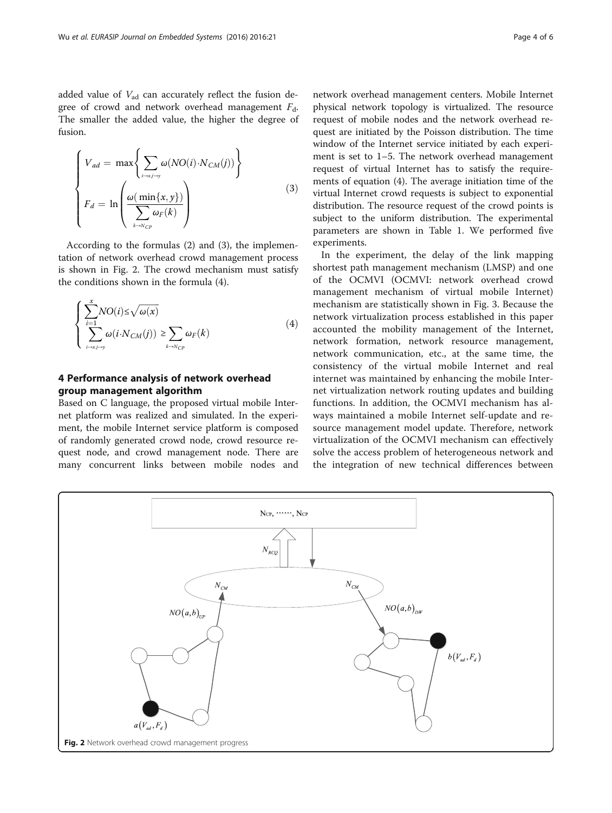<span id="page-3-0"></span>
$$
\begin{cases}\nV_{ad} = \max \left\{ \sum_{i \to x, i \to y} \omega(NO(i) \cdot N_{CM}(j)) \right\} \\
F_d = \ln \left( \frac{\omega(\min\{x, y\})}{\sum_{k \to N_{CP}} \omega_F(k)} \right)\n\end{cases}
$$
\n(3)

According to the formulas [\(2\)](#page-2-0) and (3), the implementation of network overhead crowd management process is shown in Fig. 2. The crowd mechanism must satisfy the conditions shown in the formula (4).

$$
\begin{cases} \sum_{i=1}^{x} NO(i) \le \sqrt{\omega(x)} \\ \sum_{i \to x_j \to y} \omega(i \cdot N_{CM}(j)) \ge \sum_{k \to N_{CP}} \omega_F(k) \end{cases} (4)
$$

# 4 Performance analysis of network overhead group management algorithm

Based on C language, the proposed virtual mobile Internet platform was realized and simulated. In the experiment, the mobile Internet service platform is composed of randomly generated crowd node, crowd resource request node, and crowd management node. There are many concurrent links between mobile nodes and

network overhead management centers. Mobile Internet physical network topology is virtualized. The resource request of mobile nodes and the network overhead request are initiated by the Poisson distribution. The time window of the Internet service initiated by each experiment is set to 1–5. The network overhead management request of virtual Internet has to satisfy the requirements of equation (4). The average initiation time of the virtual Internet crowd requests is subject to exponential distribution. The resource request of the crowd points is subject to the uniform distribution. The experimental parameters are shown in Table [1.](#page-4-0) We performed five experiments.

In the experiment, the delay of the link mapping shortest path management mechanism (LMSP) and one of the OCMVI (OCMVI: network overhead crowd management mechanism of virtual mobile Internet) mechanism are statistically shown in Fig. [3](#page-4-0). Because the network virtualization process established in this paper accounted the mobility management of the Internet, network formation, network resource management, network communication, etc., at the same time, the consistency of the virtual mobile Internet and real internet was maintained by enhancing the mobile Internet virtualization network routing updates and building functions. In addition, the OCMVI mechanism has always maintained a mobile Internet self-update and resource management model update. Therefore, network virtualization of the OCMVI mechanism can effectively solve the access problem of heterogeneous network and the integration of new technical differences between

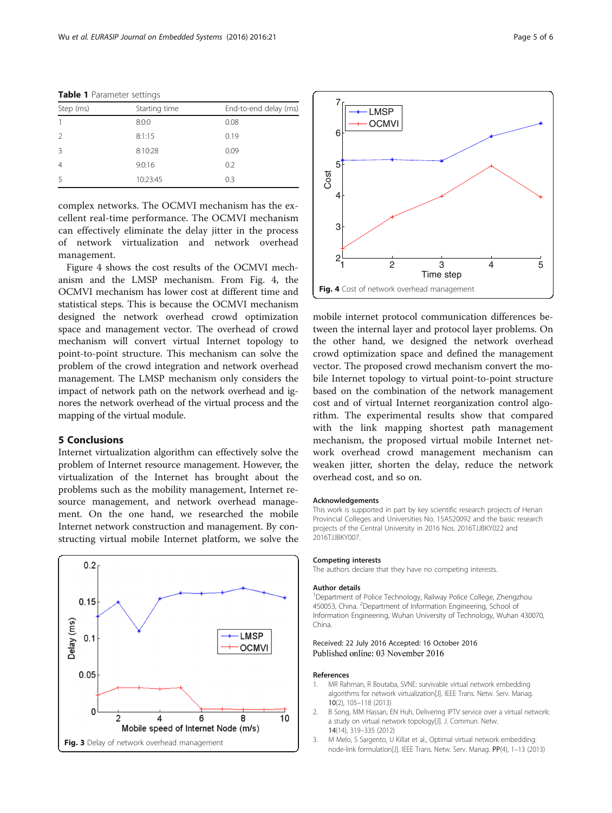| Step (ms) | Starting time | End-to-end delay (ms) |
|-----------|---------------|-----------------------|
|           | 8:0:0         | 0.08                  |
|           | 8:1:15        | 0.19                  |
| -3        | 8:10:28       | 0.09                  |
| 4         | 9:0:16        | 0.2                   |
|           | 10:23:45      | 0.3                   |

<span id="page-4-0"></span>Table 1 Parameter settings

complex networks. The OCMVI mechanism has the excellent real-time performance. The OCMVI mechanism can effectively eliminate the delay jitter in the process of network virtualization and network overhead management.

Figure 4 shows the cost results of the OCMVI mechanism and the LMSP mechanism. From Fig. 4, the OCMVI mechanism has lower cost at different time and statistical steps. This is because the OCMVI mechanism designed the network overhead crowd optimization space and management vector. The overhead of crowd mechanism will convert virtual Internet topology to point-to-point structure. This mechanism can solve the problem of the crowd integration and network overhead management. The LMSP mechanism only considers the impact of network path on the network overhead and ignores the network overhead of the virtual process and the mapping of the virtual module.

## 5 Conclusions

Internet virtualization algorithm can effectively solve the problem of Internet resource management. However, the virtualization of the Internet has brought about the problems such as the mobility management, Internet resource management, and network overhead management. On the one hand, we researched the mobile Internet network construction and management. By constructing virtual mobile Internet platform, we solve the





mobile internet protocol communication differences between the internal layer and protocol layer problems. On the other hand, we designed the network overhead crowd optimization space and defined the management vector. The proposed crowd mechanism convert the mobile Internet topology to virtual point-to-point structure based on the combination of the network management cost and of virtual Internet reorganization control algorithm. The experimental results show that compared with the link mapping shortest path management mechanism, the proposed virtual mobile Internet network overhead crowd management mechanism can weaken jitter, shorten the delay, reduce the network overhead cost, and so on.

#### Acknowledgements

This work is supported in part by key scientific research projects of Henan Provincial Colleges and Universities No. 15A520092 and the basic research projects of the Central University in 2016 Nos. 2016TJJBKY022 and 2016TJJBKY007.

## Competing interests

The authors declare that they have no competing interests.

## Author details

<sup>1</sup>Department of Police Technology, Railway Police College, Zhengzhou 450053, China. <sup>2</sup>Department of Information Engineering, School of Information Engineering, Wuhan University of Technology, Wuhan 430070, China.

## Received: 22 July 2016 Accepted: 16 October 2016 Published online: 03 November 2016

## References

- 1. MR Rahman, R Boutaba, SVNE: survivable virtual network embedding algorithms for network virtualization[J]. IEEE Trans. Netw. Serv. Manag. 10(2), 105–118 (2013)
- 2. B Song, MM Hassan, EN Huh, Delivering IPTV service over a virtual network: a study on virtual network topology[J]. J. Commun. Netw. 14(14), 319–335 (2012)
- 3. M Melo, S Sargento, U Killat et al., Optimal virtual network embedding: node-link formulation[J]. IEEE Trans. Netw. Serv. Manag. PP(4), 1–13 (2013)